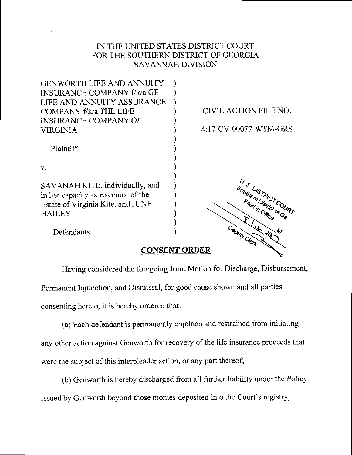## IN THE UNITED STATES DISTRICT COURT FOR THE SOUTHERN DISTRICT OF GEORGIA **SAVANNAH DIVISION**



## **CONSENT ORDER**

Having considered the foregoing Joint Motion for Discharge, Disbursement,

Permanent Injunction, and Dismissal, for good cause shown and all parties

consenting hereto, it is hereby ordered that:

(a) Each defendant is permanently enjoined and restrained from initiating any other action against Genworth for recovery of the life insurance proceeds that were the subject of this interpleader action, or any part thereof;

(b) Genworth is hereby discharged from all further liability under the Policy issued by Genworth beyond those monies deposited into the Court's registry,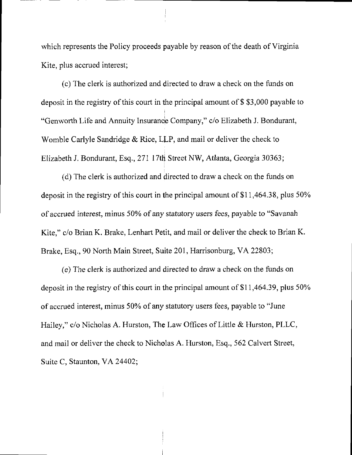which represents the Policy proceeds payable by reason of the death of Virginia Kite, plus accrued interest;

(c) The clerk is authorized and directed to draw a check on the funds on deposit in the registry of this court in the principal amount of \$ \$3,000 payable to "Genworth Life and Annuity Insurance Company," c/o Elizabeth J. Bondurant, Womble Carlyle Sandridge & Rice, LLP, and mail or deliver the check to Elizabeth J. Bondurant, Esq., 271 17th Street NW, Atlanta, Georgia 30363;

(d) The clerk is authorized and directed to draw a check on the funds on deposit in the registry of this court in the principal amount of \$11,464.38, plus 50% of accrued interest, minus 50% of any statutory users fees, payable to "Savanah Kite," c/o Brian K. Brake, Lenhart Petit, and mail or deliver the check to Brian K. Brake, Esq., 90 North Main Street, Suite 201, Harrisonburg, VA 22803;

(e) The clerk is authorized and directed to draw a check on the funds on deposit in the registry of this court in the principal amount of \$11,464.39, plus 50% of accrued interest, minus 50% of any statutory users fees, payable to "June Hailey," c/o Nicholas A. Hurston, The Law Offices of Little & Hurston, PLLC, and mail or deliver the check to Nicholas A. Hurston, Esq., 562 Calvert Street, Suite C, Staunton, VA 24402;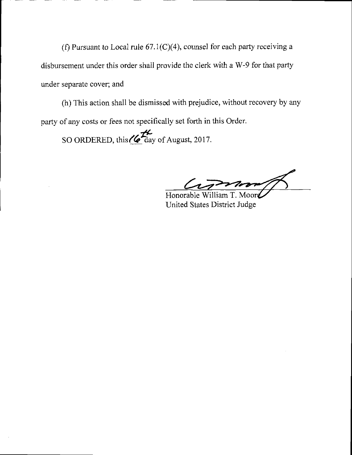(f) Pursuant to Local rule  $67.1(C)(4)$ , counsel for each party receiving a disbursement under this order shall provide the clerk with a W-9 for that party under separate cover; and

(h) This action shall be dismissed with prejudice, without recovery by any party of any costs or fees not specifically set forth in this Order.

 $\boldsymbol{t}^\prime$ SO ORDERED, this  $\mathcal O$  day of August, 2017.

Honorable William T. United States District Judge